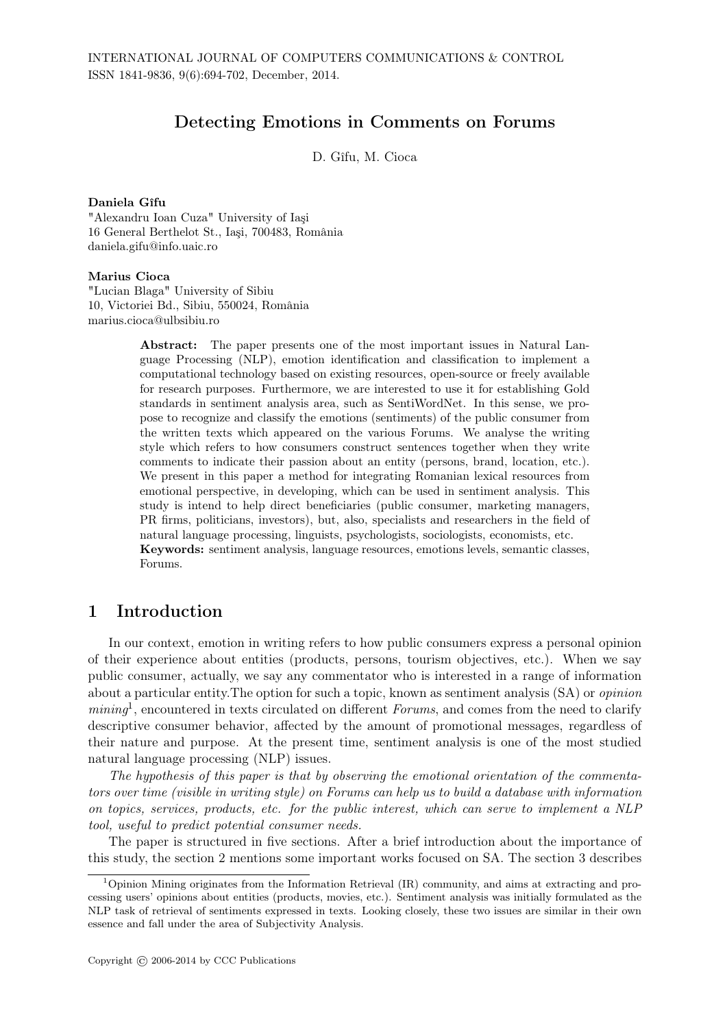## Detecting Emotions in Comments on Forums

D. Gîfu, M. Cioca

#### Daniela Gîfu

"Alexandru Ioan Cuza" University of Iaşi 16 General Berthelot St., Iaşi, 700483, România daniela.gifu@info.uaic.ro

### Marius Cioca

"Lucian Blaga" University of Sibiu 10, Victoriei Bd., Sibiu, 550024, România marius.cioca@ulbsibiu.ro

> Abstract: The paper presents one of the most important issues in Natural Language Processing (NLP), emotion identification and classification to implement a computational technology based on existing resources, open-source or freely available for research purposes. Furthermore, we are interested to use it for establishing Gold standards in sentiment analysis area, such as SentiWordNet. In this sense, we propose to recognize and classify the emotions (sentiments) of the public consumer from the written texts which appeared on the various Forums. We analyse the writing style which refers to how consumers construct sentences together when they write comments to indicate their passion about an entity (persons, brand, location, etc.). We present in this paper a method for integrating Romanian lexical resources from emotional perspective, in developing, which can be used in sentiment analysis. This study is intend to help direct beneficiaries (public consumer, marketing managers, PR firms, politicians, investors), but, also, specialists and researchers in the field of natural language processing, linguists, psychologists, sociologists, economists, etc. Keywords: sentiment analysis, language resources, emotions levels, semantic classes, Forums.

## 1 Introduction

In our context, emotion in writing refers to how public consumers express a personal opinion of their experience about entities (products, persons, tourism objectives, etc.). When we say public consumer, actually, we say any commentator who is interested in a range of information about a particular entity.The option for such a topic, known as sentiment analysis (SA) or *opinion* mining<sup>1</sup>, encountered in texts circulated on different *Forums*, and comes from the need to clarify descriptive consumer behavior, affected by the amount of promotional messages, regardless of their nature and purpose. At the present time, sentiment analysis is one of the most studied natural language processing (NLP) issues.

*The hypothesis of this paper is that by observing the emotional orientation of the commentators over time (visible in writing style) on Forums can help us to build a database with information on topics, services, products, etc. for the public interest, which can serve to implement a NLP tool, useful to predict potential consumer needs.*

The paper is structured in five sections. After a brief introduction about the importance of this study, the section 2 mentions some important works focused on SA. The section 3 describes

<sup>1</sup>Opinion Mining originates from the Information Retrieval (IR) community, and aims at extracting and processing users' opinions about entities (products, movies, etc.). Sentiment analysis was initially formulated as the NLP task of retrieval of sentiments expressed in texts. Looking closely, these two issues are similar in their own essence and fall under the area of Subjectivity Analysis.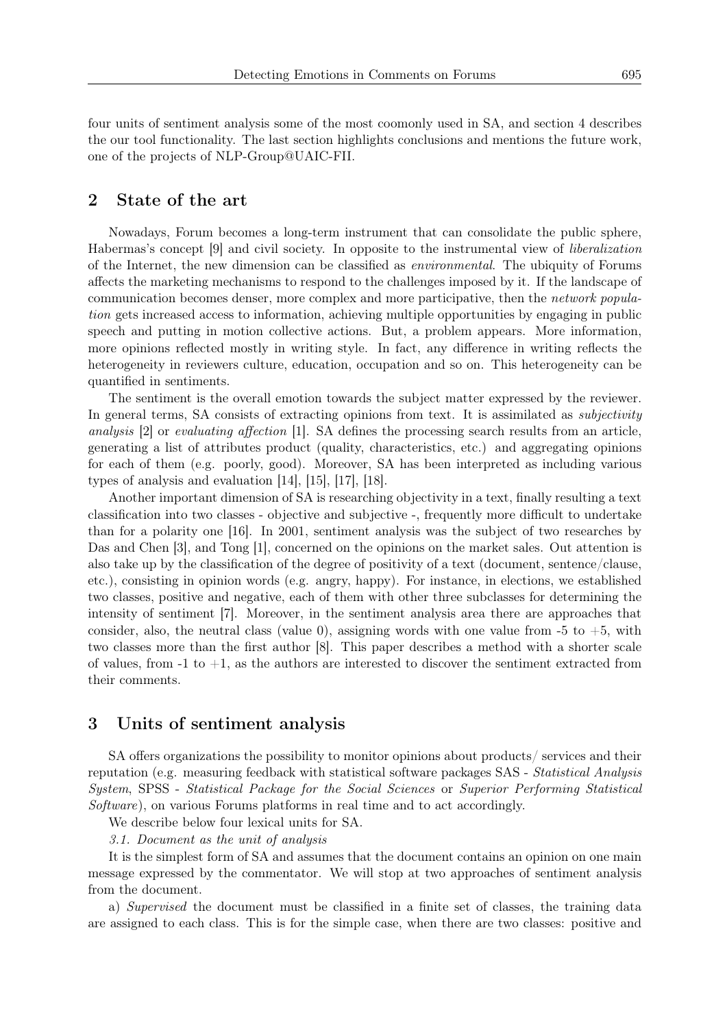four units of sentiment analysis some of the most coomonly used in SA, and section 4 describes the our tool functionality. The last section highlights conclusions and mentions the future work, one of the projects of NLP-Group@UAIC-FII.

## 2 State of the art

Nowadays, Forum becomes a long-term instrument that can consolidate the public sphere, Habermas's concept [9] and civil society. In opposite to the instrumental view of *liberalization* of the Internet, the new dimension can be classified as *environmental*. The ubiquity of Forums affects the marketing mechanisms to respond to the challenges imposed by it. If the landscape of communication becomes denser, more complex and more participative, then the *network population* gets increased access to information, achieving multiple opportunities by engaging in public speech and putting in motion collective actions. But, a problem appears. More information, more opinions reflected mostly in writing style. In fact, any difference in writing reflects the heterogeneity in reviewers culture, education, occupation and so on. This heterogeneity can be quantified in sentiments.

The sentiment is the overall emotion towards the subject matter expressed by the reviewer. In general terms, SA consists of extracting opinions from text. It is assimilated as *subjectivity analysis* [2] or *evaluating affection* [1]. SA defines the processing search results from an article, generating a list of attributes product (quality, characteristics, etc.) and aggregating opinions for each of them (e.g. poorly, good). Moreover, SA has been interpreted as including various types of analysis and evaluation [14], [15], [17], [18].

Another important dimension of SA is researching objectivity in a text, finally resulting a text classification into two classes - objective and subjective -, frequently more difficult to undertake than for a polarity one [16]. In 2001, sentiment analysis was the subject of two researches by Das and Chen [3], and Tong [1], concerned on the opinions on the market sales. Out attention is also take up by the classification of the degree of positivity of a text (document, sentence/clause, etc.), consisting in opinion words (e.g. angry, happy). For instance, in elections, we established two classes, positive and negative, each of them with other three subclasses for determining the intensity of sentiment [7]. Moreover, in the sentiment analysis area there are approaches that consider, also, the neutral class (value 0), assigning words with one value from  $-5$  to  $+5$ , with two classes more than the first author [8]. This paper describes a method with a shorter scale of values, from  $-1$  to  $+1$ , as the authors are interested to discover the sentiment extracted from their comments.

### 3 Units of sentiment analysis

SA offers organizations the possibility to monitor opinions about products/ services and their reputation (e.g. measuring feedback with statistical software packages SAS - *Statistical Analysis System*, SPSS - *Statistical Package for the Social Sciences* or *Superior Performing Statistical Software*), on various Forums platforms in real time and to act accordingly.

We describe below four lexical units for SA.

*3.1. Document as the unit of analysis*

It is the simplest form of SA and assumes that the document contains an opinion on one main message expressed by the commentator. We will stop at two approaches of sentiment analysis from the document.

a) *Supervised* the document must be classified in a finite set of classes, the training data are assigned to each class. This is for the simple case, when there are two classes: positive and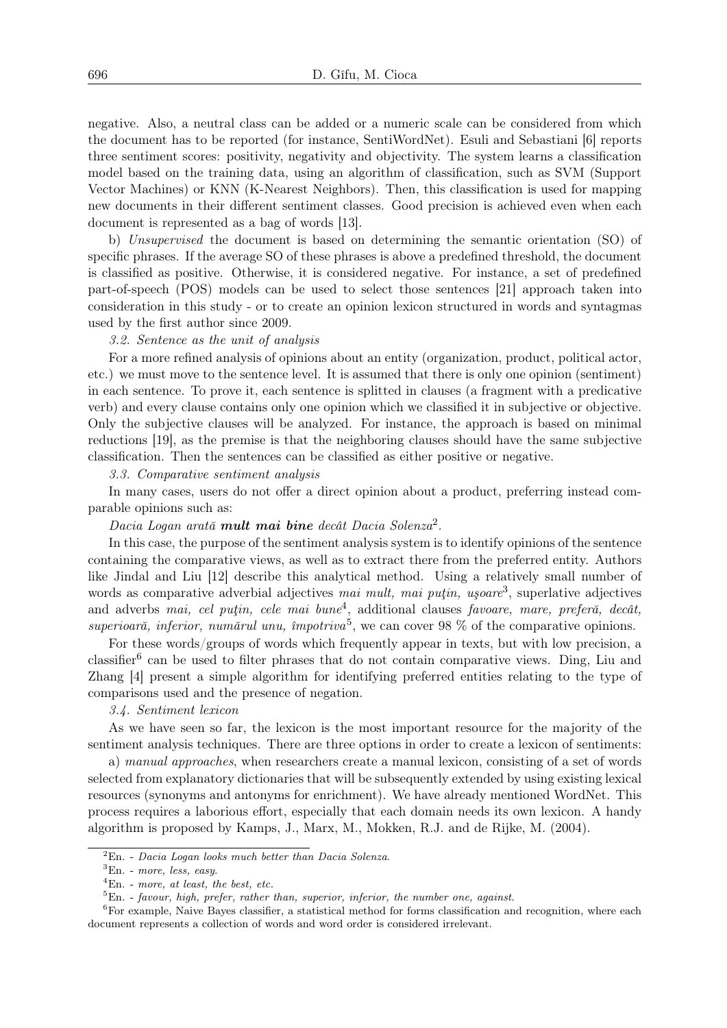negative. Also, a neutral class can be added or a numeric scale can be considered from which the document has to be reported (for instance, SentiWordNet). Esuli and Sebastiani [6] reports three sentiment scores: positivity, negativity and objectivity. The system learns a classification model based on the training data, using an algorithm of classification, such as SVM (Support Vector Machines) or KNN (K-Nearest Neighbors). Then, this classification is used for mapping new documents in their different sentiment classes. Good precision is achieved even when each document is represented as a bag of words [13].

b) *Unsupervised* the document is based on determining the semantic orientation (SO) of specific phrases. If the average SO of these phrases is above a predefined threshold, the document is classified as positive. Otherwise, it is considered negative. For instance, a set of predefined part-of-speech (POS) models can be used to select those sentences [21] approach taken into consideration in this study - or to create an opinion lexicon structured in words and syntagmas used by the first author since 2009.

### *3.2. Sentence as the unit of analysis*

For a more refined analysis of opinions about an entity (organization, product, political actor, etc.) we must move to the sentence level. It is assumed that there is only one opinion (sentiment) in each sentence. To prove it, each sentence is splitted in clauses (a fragment with a predicative verb) and every clause contains only one opinion which we classified it in subjective or objective. Only the subjective clauses will be analyzed. For instance, the approach is based on minimal reductions [19], as the premise is that the neighboring clauses should have the same subjective classification. Then the sentences can be classified as either positive or negative.

### *3.3. Comparative sentiment analysis*

In many cases, users do not offer a direct opinion about a product, preferring instead comparable opinions such as:

### *Dacia Logan arată mult mai bine decât Dacia Solenza*<sup>2</sup> .

In this case, the purpose of the sentiment analysis system is to identify opinions of the sentence containing the comparative views, as well as to extract there from the preferred entity. Authors like Jindal and Liu [12] describe this analytical method. Using a relatively small number of words as comparative adverbial adjectives *mai mult, mai puțin, ușoare*<sup>3</sup>, superlative adjectives and adverbs *mai, cel puţin, cele mai bune*<sup>4</sup> , additional clauses *favoare, mare, preferă, decât, superioară, inferior, numărul unu, împotriva*<sup>5</sup> , we can cover 98 % of the comparative opinions.

For these words/groups of words which frequently appear in texts, but with low precision, a classifier<sup>6</sup> can be used to filter phrases that do not contain comparative views. Ding, Liu and Zhang [4] present a simple algorithm for identifying preferred entities relating to the type of comparisons used and the presence of negation.

### *3.4. Sentiment lexicon*

As we have seen so far, the lexicon is the most important resource for the majority of the sentiment analysis techniques. There are three options in order to create a lexicon of sentiments:

a) *manual approaches*, when researchers create a manual lexicon, consisting of a set of words selected from explanatory dictionaries that will be subsequently extended by using existing lexical resources (synonyms and antonyms for enrichment). We have already mentioned WordNet. This process requires a laborious effort, especially that each domain needs its own lexicon. A handy algorithm is proposed by Kamps, J., Marx, M., Mokken, R.J. and de Rijke, M. (2004).

<sup>2</sup>En. - *Dacia Logan looks much better than Dacia Solenza*.

<sup>3</sup>En. - *more, less, easy*.

<sup>4</sup>En. - *more, at least, the best, etc.*

<sup>5</sup>En. - *favour, high, prefer, rather than, superior, inferior, the number one, against*.

<sup>&</sup>lt;sup>6</sup>For example, Naive Bayes classifier, a statistical method for forms classification and recognition, where each document represents a collection of words and word order is considered irrelevant.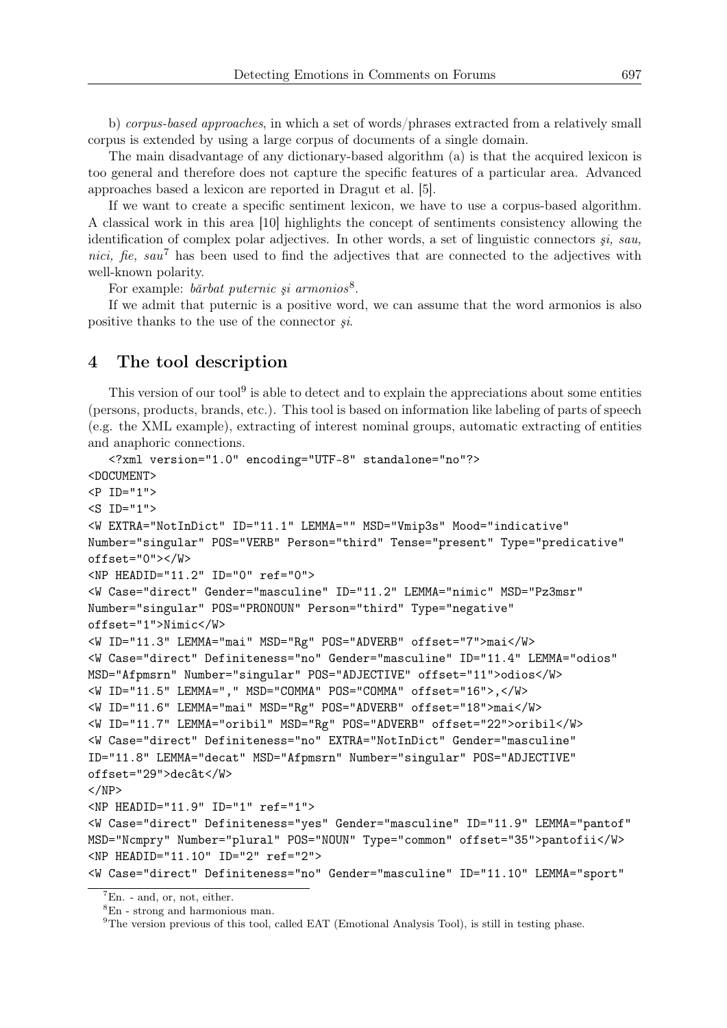b) *corpus-based approaches*, in which a set of words/phrases extracted from a relatively small corpus is extended by using a large corpus of documents of a single domain.

The main disadvantage of any dictionary-based algorithm (a) is that the acquired lexicon is too general and therefore does not capture the specific features of a particular area. Advanced approaches based a lexicon are reported in Dragut et al. [5].

If we want to create a specific sentiment lexicon, we have to use a corpus-based algorithm. A classical work in this area [10] highlights the concept of sentiments consistency allowing the identification of complex polar adjectives. In other words, a set of linguistic connectors *şi, sau, nici, fie, sau*<sup>7</sup> has been used to find the adjectives that are connected to the adjectives with well-known polarity.

For example: *bărbat puternic şi armonios*<sup>8</sup> .

If we admit that puternic is a positive word, we can assume that the word armonios is also positive thanks to the use of the connector *şi*.

## 4 The tool description

This version of our tool<sup>9</sup> is able to detect and to explain the appreciations about some entities (persons, products, brands, etc.). This tool is based on information like labeling of parts of speech (e.g. the XML example), extracting of interest nominal groups, automatic extracting of entities and anaphoric connections.

```
<?xml version="1.0" encoding="UTF-8" standalone="no"?>
<DOCUMENT>
<P ID="1">
<S ID="1">
<W EXTRA="NotInDict" ID="11.1" LEMMA="" MSD="Vmip3s" Mood="indicative"
Number="singular" POS="VERB" Person="third" Tense="present" Type="predicative"
offset="0"></W>
<NP HEADID="11.2" ID="0" ref="0">
<W Case="direct" Gender="masculine" ID="11.2" LEMMA="nimic" MSD="Pz3msr"
Number="singular" POS="PRONOUN" Person="third" Type="negative"
offset="1">Nimic</W>
<W ID="11.3" LEMMA="mai" MSD="Rg" POS="ADVERB" offset="7">mai</W>
<W Case="direct" Definiteness="no" Gender="masculine" ID="11.4" LEMMA="odios"
MSD="Afpmsrn" Number="singular" POS="ADJECTIVE" offset="11">odios</W>
<W ID="11.5" LEMMA="," MSD="COMMA" POS="COMMA" offset="16">,</W>
<W ID="11.6" LEMMA="mai" MSD="Rg" POS="ADVERB" offset="18">mai</W>
<W ID="11.7" LEMMA="oribil" MSD="Rg" POS="ADVERB" offset="22">oribil</W>
<W Case="direct" Definiteness="no" EXTRA="NotInDict" Gender="masculine"
ID="11.8" LEMMA="decat" MSD="Afpmsrn" Number="singular" POS="ADJECTIVE"
offset="29">decât</W>
</NP><NP HEADID="11.9" ID="1" ref="1">
<W Case="direct" Definiteness="yes" Gender="masculine" ID="11.9" LEMMA="pantof"
MSD="Ncmpry" Number="plural" POS="NOUN" Type="common" offset="35">pantofii</W>
<NP HEADID="11.10" ID="2" ref="2">
<W Case="direct" Definiteness="no" Gender="masculine" ID="11.10" LEMMA="sport"
```
 ${}^{7}$ En. - and, or, not, either.

<sup>8</sup>En - strong and harmonious man.

<sup>&</sup>lt;sup>9</sup>The version previous of this tool, called EAT (Emotional Analysis Tool), is still in testing phase.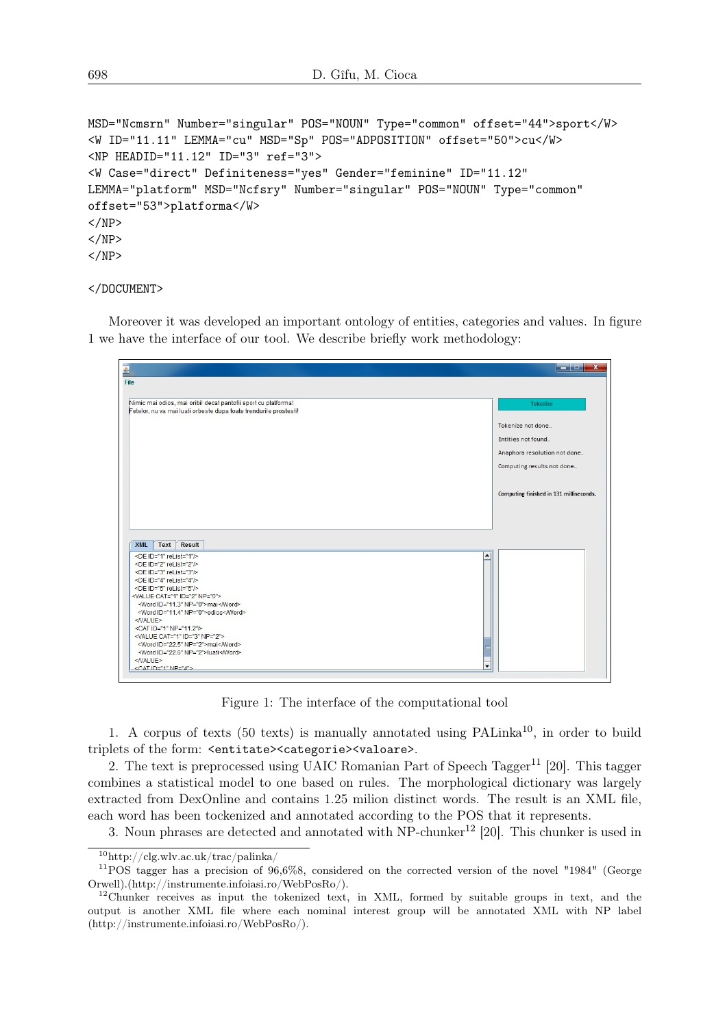```
MSD="Ncmsrn" Number="singular" POS="NOUN" Type="common" offset="44">sport</W>
<W ID="11.11" LEMMA="cu" MSD="Sp" POS="ADPOSITION" offset="50">cu</W>
<NP HEADID="11.12" ID="3" ref="3">
<W Case="direct" Definiteness="yes" Gender="feminine" ID="11.12"
LEMMA="platform" MSD="Ncfsry" Number="singular" POS="NOUN" Type="common"
offset="53">platforma</W>
</NP></NP></NP>
```
### </DOCUMENT>

Moreover it was developed an important ontology of entities, categories and values. In figure 1 we have the interface of our tool. We describe briefly work methodology:

| Ł                                                                                  | $\mathbf{x}$<br><b>REGISTER</b>         |
|------------------------------------------------------------------------------------|-----------------------------------------|
| File                                                                               |                                         |
|                                                                                    |                                         |
| Nimic mai odios, mai oribil decat pantofii sport cu platforma!                     | <b>Tokenize</b>                         |
| Fetelor, nu va mai luati orbeste dupa toate trendurile prostesti!                  |                                         |
|                                                                                    | Tokenize not done                       |
|                                                                                    | Entities not found                      |
|                                                                                    |                                         |
|                                                                                    | Anaphora resolution not done            |
|                                                                                    | Computing results not done              |
|                                                                                    |                                         |
|                                                                                    |                                         |
|                                                                                    | Computing finished in 131 milliseconds. |
|                                                                                    |                                         |
|                                                                                    |                                         |
|                                                                                    |                                         |
|                                                                                    |                                         |
|                                                                                    |                                         |
| <b>XML</b><br>Text<br><b>Result</b>                                                |                                         |
| <de id="1" relist="1"></de>                                                        | ▲                                       |
| <de id="2" relist="2"></de>                                                        |                                         |
| <de id="3" relist="3"></de>                                                        |                                         |
| <de id="4" relist="4"></de>                                                        |                                         |
| <de id="5" relist="5"></de>                                                        |                                         |
|                                                                                    |                                         |
| <word id="11.3" np="0">mai</word>                                                  |                                         |
| <word id="11.4" np="0">odios</word>                                                |                                         |
| <nalue></nalue>                                                                    |                                         |
| <cat id="1" np="11.2"></cat>                                                       |                                         |
|                                                                                    |                                         |
| <value cat="1" id="3" np="2"></value>                                              |                                         |
| <word id="22.5" np="2">mai</word>                                                  |                                         |
| <value cat="1" id="2" np="0"><br/><word id="22.6" np="2">luati</word><br/></value> |                                         |

Figure 1: The interface of the computational tool

1. A corpus of texts (50 texts) is manually annotated using  $\text{PALinka}^{10}$ , in order to build triplets of the form: <entitate><categorie><valoare>.

2. The text is preprocessed using UAIC Romanian Part of Speech Tagger<sup>11</sup> [20]. This tagger combines a statistical model to one based on rules. The morphological dictionary was largely extracted from DexOnline and contains 1.25 milion distinct words. The result is an XML file, each word has been tockenized and annotated according to the POS that it represents.

3. Noun phrases are detected and annotated with  $NP$ -chunker<sup>12</sup> [20]. This chunker is used in

 $10$ http://clg.wlv.ac.uk/trac/palinka/

 $11$ POS tagger has a precision of 96,6%8, considered on the corrected version of the novel "1984" (George Orwell).(http://instrumente.infoiasi.ro/WebPosRo/).

 $12$ Chunker receives as input the tokenized text, in XML, formed by suitable groups in text, and the output is another XML file where each nominal interest group will be annotated XML with NP label (http://instrumente.infoiasi.ro/WebPosRo/).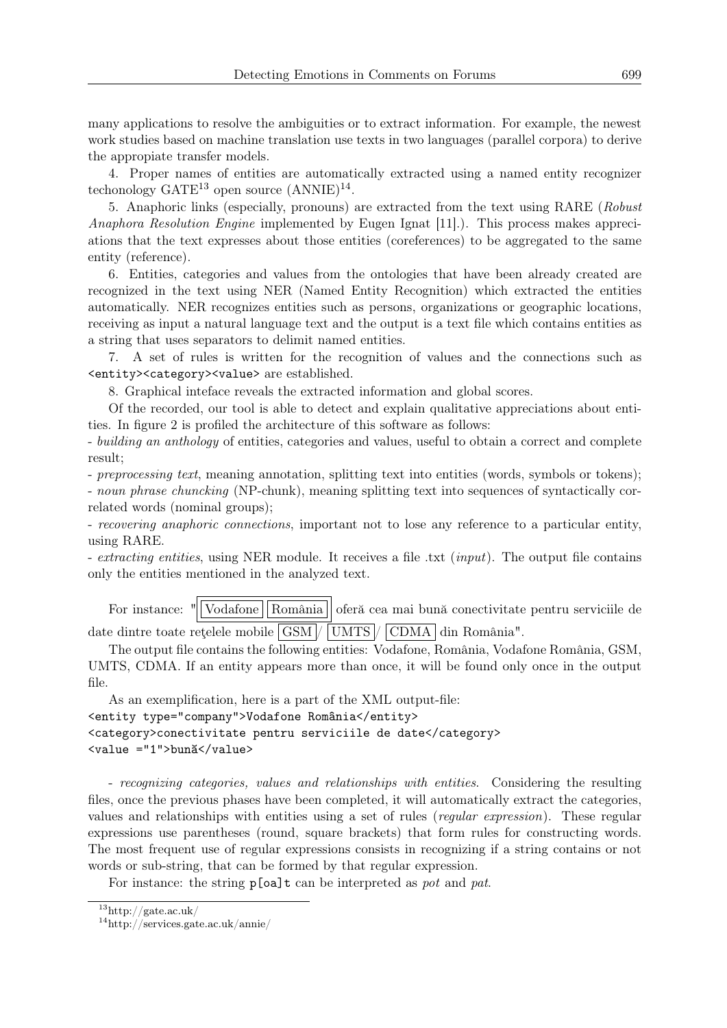many applications to resolve the ambiguities or to extract information. For example, the newest work studies based on machine translation use texts in two languages (parallel corpora) to derive the appropiate transfer models.

4. Proper names of entities are automatically extracted using a named entity recognizer techonology  $GATE^{13}$  open source  $(ANNIE)^{14}$ .

5. Anaphoric links (especially, pronouns) are extracted from the text using RARE (*Robust Anaphora Resolution Engine* implemented by Eugen Ignat [11].). This process makes appreciations that the text expresses about those entities (coreferences) to be aggregated to the same entity (reference).

6. Entities, categories and values from the ontologies that have been already created are recognized in the text using NER (Named Entity Recognition) which extracted the entities automatically. NER recognizes entities such as persons, organizations or geographic locations, receiving as input a natural language text and the output is a text file which contains entities as a string that uses separators to delimit named entities.

7. A set of rules is written for the recognition of values and the connections such as <entity><category><value> are established.

8. Graphical inteface reveals the extracted information and global scores.

Of the recorded, our tool is able to detect and explain qualitative appreciations about entities. In figure 2 is profiled the architecture of this software as follows:

- *building an anthology* of entities, categories and values, useful to obtain a correct and complete result;

- *preprocessing text*, meaning annotation, splitting text into entities (words, symbols or tokens); - *noun phrase chuncking* (NP-chunk), meaning splitting text into sequences of syntactically correlated words (nominal groups);

- *recovering anaphoric connections*, important not to lose any reference to a particular entity, using RARE.

- *extracting entities*, using NER module. It receives a file .txt (*input*). The output file contains only the entities mentioned in the analyzed text.

For instance: "|Vodafone || România || oferă cea mai bună conectivitate pentru serviciile de date dintre toate rețelele mobile  $|GSM|/|UMTS|/|CDMA|$  din România".

The output file contains the following entities: Vodafone, România, Vodafone România, GSM, UMTS, CDMA. If an entity appears more than once, it will be found only once in the output file.

As an exemplification, here is a part of the XML output-file: <entity type="company">Vodafone România</entity> <category>conectivitate pentru serviciile de date</category> <value ="1">bună</value>

- *recognizing categories, values and relationships with entities*. Considering the resulting files, once the previous phases have been completed, it will automatically extract the categories, values and relationships with entities using a set of rules (*regular expression*). These regular expressions use parentheses (round, square brackets) that form rules for constructing words. The most frequent use of regular expressions consists in recognizing if a string contains or not words or sub-string, that can be formed by that regular expression.

For instance: the string p[oa]t can be interpreted as *pot* and *pat*.

 $\rm ^{13}$  http://gate.ac.uk/

 $\rm ^{14}$  http://services.gate.ac.uk/annie/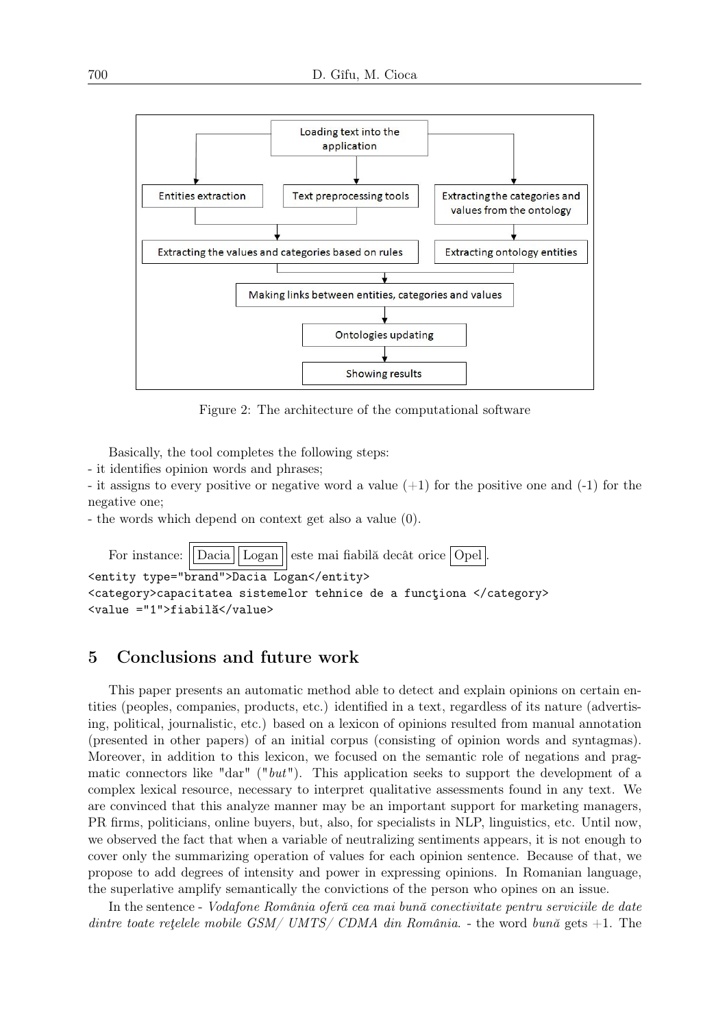

Figure 2: The architecture of the computational software

Basically, the tool completes the following steps:

- it identifies opinion words and phrases;

- it assigns to every positive or negative word a value  $(+1)$  for the positive one and  $(-1)$  for the negative one;

- the words which depend on context get also a value (0).

For instance:  $\|\text{Dacia}\|\text{Logan}\|\$ este mai fiabilă decât orice  $\text{Opel}\|$ <entity type="brand">Dacia Logan</entity> <category>capacitatea sistemelor tehnice de a funcţiona </category> <value ="1">fiabilă</value>

## 5 Conclusions and future work

This paper presents an automatic method able to detect and explain opinions on certain entities (peoples, companies, products, etc.) identified in a text, regardless of its nature (advertising, political, journalistic, etc.) based on a lexicon of opinions resulted from manual annotation (presented in other papers) of an initial corpus (consisting of opinion words and syntagmas). Moreover, in addition to this lexicon, we focused on the semantic role of negations and pragmatic connectors like "dar" ("*but*"). This application seeks to support the development of a complex lexical resource, necessary to interpret qualitative assessments found in any text. We are convinced that this analyze manner may be an important support for marketing managers, PR firms, politicians, online buyers, but, also, for specialists in NLP, linguistics, etc. Until now, we observed the fact that when a variable of neutralizing sentiments appears, it is not enough to cover only the summarizing operation of values for each opinion sentence. Because of that, we propose to add degrees of intensity and power in expressing opinions. In Romanian language, the superlative amplify semantically the convictions of the person who opines on an issue.

In the sentence - *Vodafone România oferă cea mai bună conectivitate pentru serviciile de date dintre toate reţelele mobile GSM/ UMTS/ CDMA din România*. - the word *bună* gets +1. The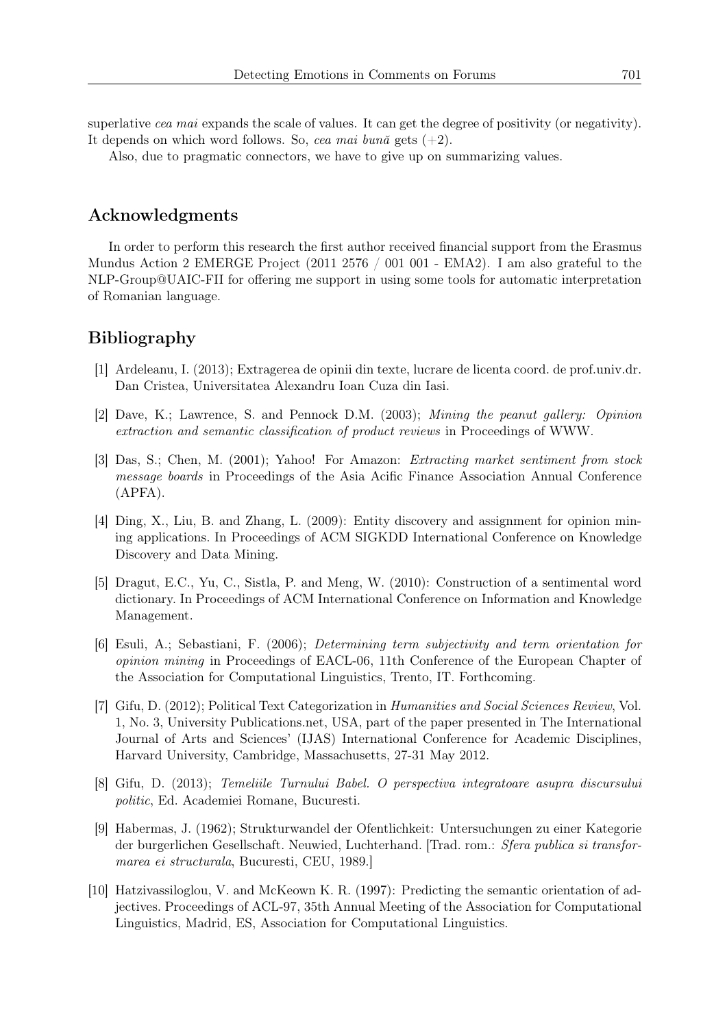superlative *cea mai* expands the scale of values. It can get the degree of positivity (or negativity). It depends on which word follows. So, *cea mai bună* gets (+2).

Also, due to pragmatic connectors, we have to give up on summarizing values.

## Acknowledgments

In order to perform this research the first author received financial support from the Erasmus Mundus Action 2 EMERGE Project (2011 2576 / 001 001 - EMA2). I am also grateful to the NLP-Group@UAIC-FII for offering me support in using some tools for automatic interpretation of Romanian language.

# Bibliography

- [1] Ardeleanu, I. (2013); Extragerea de opinii din texte, lucrare de licenta coord. de prof.univ.dr. Dan Cristea, Universitatea Alexandru Ioan Cuza din Iasi.
- [2] Dave, K.; Lawrence, S. and Pennock D.M. (2003); *Mining the peanut gallery: Opinion extraction and semantic classification of product reviews* in Proceedings of WWW.
- [3] Das, S.; Chen, M. (2001); Yahoo! For Amazon: *Extracting market sentiment from stock message boards* in Proceedings of the Asia Acific Finance Association Annual Conference (APFA).
- [4] Ding, X., Liu, B. and Zhang, L. (2009): Entity discovery and assignment for opinion mining applications. In Proceedings of ACM SIGKDD International Conference on Knowledge Discovery and Data Mining.
- [5] Dragut, E.C., Yu, C., Sistla, P. and Meng, W. (2010): Construction of a sentimental word dictionary. In Proceedings of ACM International Conference on Information and Knowledge Management.
- [6] Esuli, A.; Sebastiani, F. (2006); *Determining term subjectivity and term orientation for opinion mining* in Proceedings of EACL-06, 11th Conference of the European Chapter of the Association for Computational Linguistics, Trento, IT. Forthcoming.
- [7] Gifu, D. (2012); Political Text Categorization in *Humanities and Social Sciences Review*, Vol. 1, No. 3, University Publications.net, USA, part of the paper presented in The International Journal of Arts and Sciences' (IJAS) International Conference for Academic Disciplines, Harvard University, Cambridge, Massachusetts, 27-31 May 2012.
- [8] Gifu, D. (2013); *Temeliile Turnului Babel. O perspectiva integratoare asupra discursului politic*, Ed. Academiei Romane, Bucuresti.
- [9] Habermas, J. (1962); Strukturwandel der Ofentlichkeit: Untersuchungen zu einer Kategorie der burgerlichen Gesellschaft. Neuwied, Luchterhand. [Trad. rom.: *Sfera publica si transformarea ei structurala*, Bucuresti, CEU, 1989.]
- [10] Hatzivassiloglou, V. and McKeown K. R. (1997): Predicting the semantic orientation of adjectives. Proceedings of ACL-97, 35th Annual Meeting of the Association for Computational Linguistics, Madrid, ES, Association for Computational Linguistics.